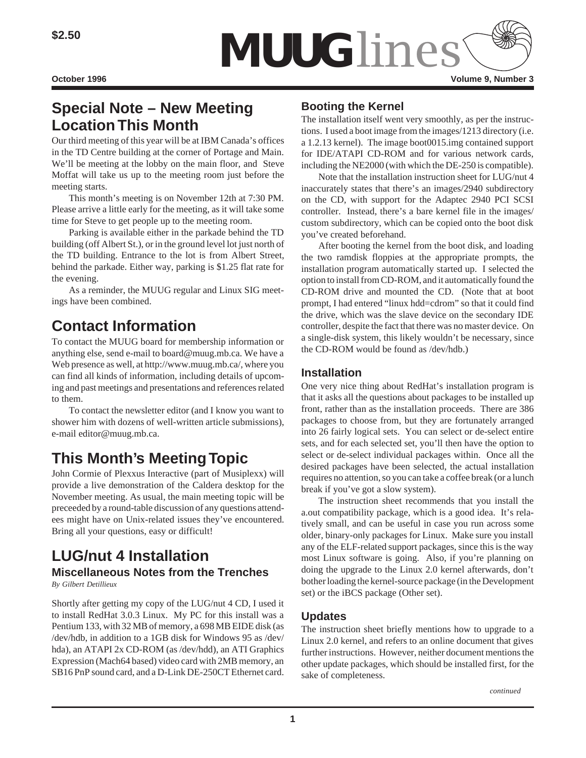

# **Special Note – New Meeting Location This Month**

Our third meeting of this year will be at IBM Canada's offices in the TD Centre building at the corner of Portage and Main. We'll be meeting at the lobby on the main floor, and Steve Moffat will take us up to the meeting room just before the meeting starts.

This month's meeting is on November 12th at 7:30 PM. Please arrive a little early for the meeting, as it will take some time for Steve to get people up to the meeting room.

Parking is available either in the parkade behind the TD building (off Albert St.), or in the ground level lot just north of the TD building. Entrance to the lot is from Albert Street, behind the parkade. Either way, parking is \$1.25 flat rate for the evening.

As a reminder, the MUUG regular and Linux SIG meetings have been combined.

# **Contact Information**

To contact the MUUG board for membership information or anything else, send e-mail to board@muug.mb.ca. We have a Web presence as well, at http://www.muug.mb.ca/, where you can find all kinds of information, including details of upcoming and past meetings and presentations and references related to them.

To contact the newsletter editor (and I know you want to shower him with dozens of well-written article submissions), e-mail editor@muug.mb.ca.

# **This Month's Meeting Topic**

John Cormie of Plexxus Interactive (part of Musiplexx) will provide a live demonstration of the Caldera desktop for the November meeting. As usual, the main meeting topic will be preceeded by a round-table discussion of any questions attendees might have on Unix-related issues they've encountered. Bring all your questions, easy or difficult!

## **LUG/nut 4 Installation Miscellaneous Notes from the Trenches**

*By Gilbert Detillieux*

Shortly after getting my copy of the LUG/nut 4 CD, I used it to install RedHat 3.0.3 Linux. My PC for this install was a Pentium 133, with 32 MB of memory, a 698 MB EIDE disk (as /dev/hdb, in addition to a 1GB disk for Windows 95 as /dev/ hda), an ATAPI 2x CD-ROM (as /dev/hdd), an ATI Graphics Expression (Mach64 based) video card with 2MB memory, an SB16 PnP sound card, and a D-Link DE-250CT Ethernet card.

## **Booting the Kernel**

The installation itself went very smoothly, as per the instructions. I used a boot image from the images/1213 directory (i.e. a 1.2.13 kernel). The image boot0015.img contained support for IDE/ATAPI CD-ROM and for various network cards, including the NE2000 (with which the DE-250 is compatible).

Note that the installation instruction sheet for LUG/nut 4 inaccurately states that there's an images/2940 subdirectory on the CD, with support for the Adaptec 2940 PCI SCSI controller. Instead, there's a bare kernel file in the images/ custom subdirectory, which can be copied onto the boot disk you've created beforehand.

After booting the kernel from the boot disk, and loading the two ramdisk floppies at the appropriate prompts, the installation program automatically started up. I selected the option to install from CD-ROM, and it automatically found the CD-ROM drive and mounted the CD. (Note that at boot prompt, I had entered "linux hdd=cdrom" so that it could find the drive, which was the slave device on the secondary IDE controller, despite the fact that there was no master device. On a single-disk system, this likely wouldn't be necessary, since the CD-ROM would be found as /dev/hdb.)

## **Installation**

One very nice thing about RedHat's installation program is that it asks all the questions about packages to be installed up front, rather than as the installation proceeds. There are 386 packages to choose from, but they are fortunately arranged into 26 fairly logical sets. You can select or de-select entire sets, and for each selected set, you'll then have the option to select or de-select individual packages within. Once all the desired packages have been selected, the actual installation requires no attention, so you can take a coffee break (or a lunch break if you've got a slow system).

The instruction sheet recommends that you install the a.out compatibility package, which is a good idea. It's relatively small, and can be useful in case you run across some older, binary-only packages for Linux. Make sure you install any of the ELF-related support packages, since this is the way most Linux software is going. Also, if you're planning on doing the upgrade to the Linux 2.0 kernel afterwards, don't bother loading the kernel-source package (in the Development set) or the iBCS package (Other set).

## **Updates**

The instruction sheet briefly mentions how to upgrade to a Linux 2.0 kernel, and refers to an online document that gives further instructions. However, neither document mentions the other update packages, which should be installed first, for the sake of completeness.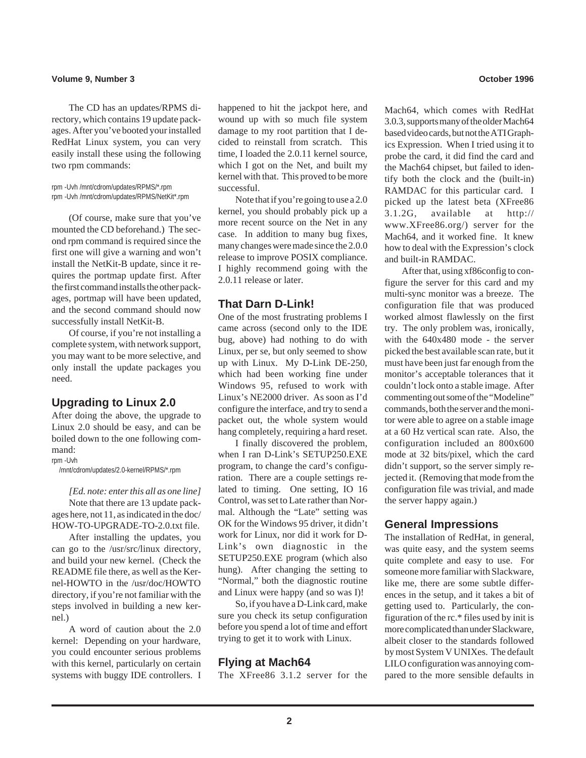#### **Volume 9, Number 3 October 1996**

The CD has an updates/RPMS directory, which contains 19 update packages. After you've booted your installed RedHat Linux system, you can very easily install these using the following two rpm commands:

rpm -Uvh /mnt/cdrom/updates/RPMS/\*.rpm rpm -Uvh /mnt/cdrom/updates/RPMS/NetKit\*.rpm

(Of course, make sure that you've mounted the CD beforehand.) The second rpm command is required since the first one will give a warning and won't install the NetKit-B update, since it requires the portmap update first. After the first command installs the other packages, portmap will have been updated, and the second command should now successfully install NetKit-B.

Of course, if you're not installing a complete system, with network support, you may want to be more selective, and only install the update packages you need.

#### **Upgrading to Linux 2.0**

After doing the above, the upgrade to Linux 2.0 should be easy, and can be boiled down to the one following command:

rpm -Uvh

/mnt/cdrom/updates/2.0-kernel/RPMS/\*.rpm

*[Ed. note: enter this all as one line]* Note that there are 13 update packages here, not 11, as indicated in the doc/ HOW-TO-UPGRADE-TO-2.0.txt file.

After installing the updates, you can go to the /usr/src/linux directory, and build your new kernel. (Check the README file there, as well as the Kernel-HOWTO in the /usr/doc/HOWTO directory, if you're not familiar with the steps involved in building a new kernel.)

A word of caution about the 2.0 kernel: Depending on your hardware, you could encounter serious problems with this kernel, particularly on certain systems with buggy IDE controllers. I happened to hit the jackpot here, and wound up with so much file system damage to my root partition that I decided to reinstall from scratch. This time, I loaded the 2.0.11 kernel source, which I got on the Net, and built my kernel with that. This proved to be more successful.

Note that if you're going to use a 2.0 kernel, you should probably pick up a more recent source on the Net in any case. In addition to many bug fixes, many changes were made since the 2.0.0 release to improve POSIX compliance. I highly recommend going with the 2.0.11 release or later.

### **That Darn D-Link!**

One of the most frustrating problems I came across (second only to the IDE bug, above) had nothing to do with Linux, per se, but only seemed to show up with Linux. My D-Link DE-250, which had been working fine under Windows 95, refused to work with Linux's NE2000 driver. As soon as I'd configure the interface, and try to send a packet out, the whole system would hang completely, requiring a hard reset.

I finally discovered the problem, when I ran D-Link's SETUP250.EXE program, to change the card's configuration. There are a couple settings related to timing. One setting, IO 16 Control, was set to Late rather than Normal. Although the "Late" setting was OK for the Windows 95 driver, it didn't work for Linux, nor did it work for D-Link's own diagnostic in the SETUP250.EXE program (which also hung). After changing the setting to "Normal," both the diagnostic routine and Linux were happy (and so was I)!

So, if you have a D-Link card, make sure you check its setup configuration before you spend a lot of time and effort trying to get it to work with Linux.

#### **Flying at Mach64**

The XFree86 3.1.2 server for the

Mach64, which comes with RedHat 3.0.3, supports many of the older Mach64 based video cards, but not the ATI Graphics Expression. When I tried using it to probe the card, it did find the card and the Mach64 chipset, but failed to identify both the clock and the (built-in) RAMDAC for this particular card. I picked up the latest beta (XFree86 3.1.2G, available at http:// www.XFree86.org/) server for the Mach64, and it worked fine. It knew how to deal with the Expression's clock and built-in RAMDAC.

After that, using xf86config to configure the server for this card and my multi-sync monitor was a breeze. The configuration file that was produced worked almost flawlessly on the first try. The only problem was, ironically, with the 640x480 mode - the server picked the best available scan rate, but it must have been just far enough from the monitor's acceptable tolerances that it couldn't lock onto a stable image. After commenting out some of the "Modeline" commands, both the server and the monitor were able to agree on a stable image at a 60 Hz vertical scan rate. Also, the configuration included an 800x600 mode at 32 bits/pixel, which the card didn't support, so the server simply rejected it. (Removing that mode from the configuration file was trivial, and made the server happy again.)

#### **General Impressions**

The installation of RedHat, in general, was quite easy, and the system seems quite complete and easy to use. For someone more familiar with Slackware, like me, there are some subtle differences in the setup, and it takes a bit of getting used to. Particularly, the configuration of the rc.\* files used by init is more complicated than under Slackware, albeit closer to the standards followed by most System V UNIXes. The default LILO configuration was annoying compared to the more sensible defaults in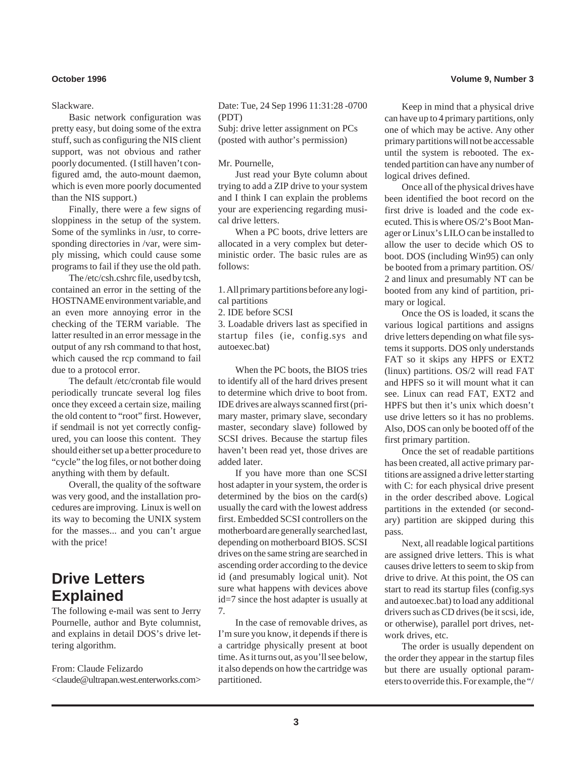#### Slackware.

Basic network configuration was pretty easy, but doing some of the extra stuff, such as configuring the NIS client support, was not obvious and rather poorly documented. (I still haven't configured amd, the auto-mount daemon, which is even more poorly documented than the NIS support.)

Finally, there were a few signs of sloppiness in the setup of the system. Some of the symlinks in /usr, to corresponding directories in /var, were simply missing, which could cause some programs to fail if they use the old path.

The /etc/csh.cshrc file, used by tcsh, contained an error in the setting of the HOSTNAME environment variable, and an even more annoying error in the checking of the TERM variable. The latter resulted in an error message in the output of any rsh command to that host, which caused the rcp command to fail due to a protocol error.

The default /etc/crontab file would periodically truncate several log files once they exceed a certain size, mailing the old content to "root" first. However, if sendmail is not yet correctly configured, you can loose this content. They should either set up a better procedure to "cycle" the log files, or not bother doing anything with them by default.

Overall, the quality of the software was very good, and the installation procedures are improving. Linux is well on its way to becoming the UNIX system for the masses... and you can't argue with the price!

## **Drive Letters Explained**

The following e-mail was sent to Jerry Pournelle, author and Byte columnist, and explains in detail DOS's drive lettering algorithm.

From: Claude Felizardo <claude@ultrapan.west.enterworks.com> Date: Tue, 24 Sep 1996 11:31:28 -0700 (PDT)

Subj: drive letter assignment on PCs (posted with author's permission)

#### Mr. Pournelle,

Just read your Byte column about trying to add a ZIP drive to your system and I think I can explain the problems your are experiencing regarding musical drive letters.

When a PC boots, drive letters are allocated in a very complex but deterministic order. The basic rules are as follows:

1. All primary partitions before any logical partitions

2. IDE before SCSI

3. Loadable drivers last as specified in startup files (ie, config.sys and autoexec.bat)

When the PC boots, the BIOS tries to identify all of the hard drives present to determine which drive to boot from. IDE drives are always scanned first (primary master, primary slave, secondary master, secondary slave) followed by SCSI drives. Because the startup files haven't been read yet, those drives are added later.

If you have more than one SCSI host adapter in your system, the order is determined by the bios on the card(s) usually the card with the lowest address first. Embedded SCSI controllers on the motherboard are generally searched last, depending on motherboard BIOS. SCSI drives on the same string are searched in ascending order according to the device id (and presumably logical unit). Not sure what happens with devices above id=7 since the host adapter is usually at 7.

In the case of removable drives, as I'm sure you know, it depends if there is a cartridge physically present at boot time. As it turns out, as you'll see below, it also depends on how the cartridge was partitioned.

#### **October 1996 Volume 9, Number 3**

Keep in mind that a physical drive can have up to 4 primary partitions, only one of which may be active. Any other primary partitions will not be accessable until the system is rebooted. The extended partition can have any number of logical drives defined.

Once all of the physical drives have been identified the boot record on the first drive is loaded and the code executed. This is where OS/2's Boot Manager or Linux's LILO can be installed to allow the user to decide which OS to boot. DOS (including Win95) can only be booted from a primary partition. OS/ 2 and linux and presumably NT can be booted from any kind of partition, primary or logical.

Once the OS is loaded, it scans the various logical partitions and assigns drive letters depending on what file systems it supports. DOS only understands FAT so it skips any HPFS or EXT2 (linux) partitions. OS/2 will read FAT and HPFS so it will mount what it can see. Linux can read FAT, EXT2 and HPFS but then it's unix which doesn't use drive letters so it has no problems. Also, DOS can only be booted off of the first primary partition.

Once the set of readable partitions has been created, all active primary partitions are assigned a drive letter starting with C: for each physical drive present in the order described above. Logical partitions in the extended (or secondary) partition are skipped during this pass.

Next, all readable logical partitions are assigned drive letters. This is what causes drive letters to seem to skip from drive to drive. At this point, the OS can start to read its startup files (config.sys and autoexec.bat) to load any additional drivers such as CD drives (be it scsi, ide, or otherwise), parallel port drives, network drives, etc.

The order is usually dependent on the order they appear in the startup files but there are usually optional parameters to override this. For example, the "/